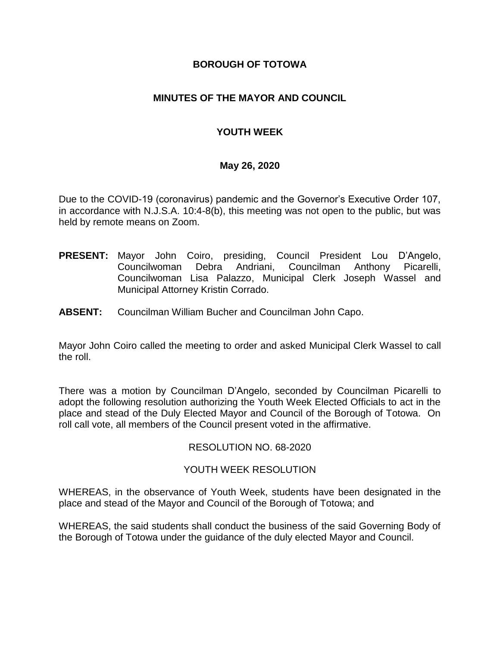## **BOROUGH OF TOTOWA**

# **MINUTES OF THE MAYOR AND COUNCIL**

# **YOUTH WEEK**

### **May 26, 2020**

Due to the COVID-19 (coronavirus) pandemic and the Governor's Executive Order 107, in accordance with N.J.S.A. 10:4-8(b), this meeting was not open to the public, but was held by remote means on Zoom.

- **PRESENT:** Mayor John Coiro, presiding, Council President Lou D'Angelo, Councilwoman Debra Andriani, Councilman Anthony Picarelli, Councilwoman Lisa Palazzo, Municipal Clerk Joseph Wassel and Municipal Attorney Kristin Corrado.
- **ABSENT:** Councilman William Bucher and Councilman John Capo.

Mayor John Coiro called the meeting to order and asked Municipal Clerk Wassel to call the roll.

There was a motion by Councilman D'Angelo, seconded by Councilman Picarelli to adopt the following resolution authorizing the Youth Week Elected Officials to act in the place and stead of the Duly Elected Mayor and Council of the Borough of Totowa. On roll call vote, all members of the Council present voted in the affirmative.

### RESOLUTION NO. 68-2020

### YOUTH WEEK RESOLUTION

WHEREAS, in the observance of Youth Week, students have been designated in the place and stead of the Mayor and Council of the Borough of Totowa; and

WHEREAS, the said students shall conduct the business of the said Governing Body of the Borough of Totowa under the guidance of the duly elected Mayor and Council.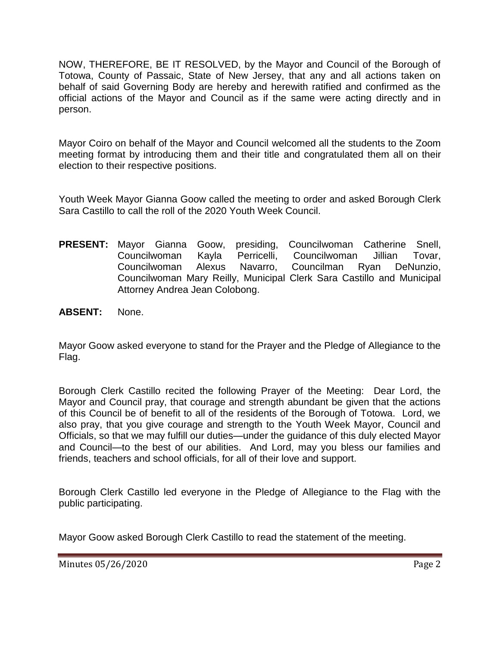NOW, THEREFORE, BE IT RESOLVED, by the Mayor and Council of the Borough of Totowa, County of Passaic, State of New Jersey, that any and all actions taken on behalf of said Governing Body are hereby and herewith ratified and confirmed as the official actions of the Mayor and Council as if the same were acting directly and in person.

Mayor Coiro on behalf of the Mayor and Council welcomed all the students to the Zoom meeting format by introducing them and their title and congratulated them all on their election to their respective positions.

Youth Week Mayor Gianna Goow called the meeting to order and asked Borough Clerk Sara Castillo to call the roll of the 2020 Youth Week Council.

- **PRESENT:** Mayor Gianna Goow, presiding, Councilwoman Catherine Snell, Councilwoman Kayla Perricelli, Councilwoman Jillian Tovar, Councilwoman Alexus Navarro, Councilman Ryan DeNunzio, Councilwoman Mary Reilly, Municipal Clerk Sara Castillo and Municipal Attorney Andrea Jean Colobong.
- **ABSENT:** None.

Mayor Goow asked everyone to stand for the Prayer and the Pledge of Allegiance to the Flag.

Borough Clerk Castillo recited the following Prayer of the Meeting: Dear Lord, the Mayor and Council pray, that courage and strength abundant be given that the actions of this Council be of benefit to all of the residents of the Borough of Totowa. Lord, we also pray, that you give courage and strength to the Youth Week Mayor, Council and Officials, so that we may fulfill our duties—under the guidance of this duly elected Mayor and Council—to the best of our abilities. And Lord, may you bless our families and friends, teachers and school officials, for all of their love and support.

Borough Clerk Castillo led everyone in the Pledge of Allegiance to the Flag with the public participating.

Mayor Goow asked Borough Clerk Castillo to read the statement of the meeting.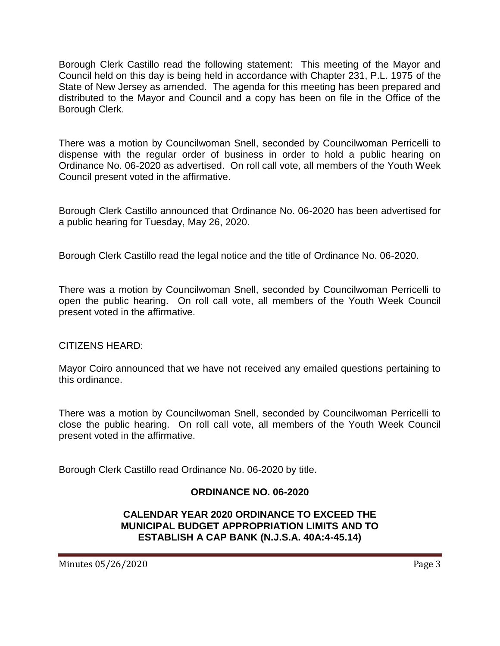Borough Clerk Castillo read the following statement: This meeting of the Mayor and Council held on this day is being held in accordance with Chapter 231, P.L. 1975 of the State of New Jersey as amended. The agenda for this meeting has been prepared and distributed to the Mayor and Council and a copy has been on file in the Office of the Borough Clerk.

There was a motion by Councilwoman Snell, seconded by Councilwoman Perricelli to dispense with the regular order of business in order to hold a public hearing on Ordinance No. 06-2020 as advertised. On roll call vote, all members of the Youth Week Council present voted in the affirmative.

Borough Clerk Castillo announced that Ordinance No. 06-2020 has been advertised for a public hearing for Tuesday, May 26, 2020.

Borough Clerk Castillo read the legal notice and the title of Ordinance No. 06-2020.

There was a motion by Councilwoman Snell, seconded by Councilwoman Perricelli to open the public hearing. On roll call vote, all members of the Youth Week Council present voted in the affirmative.

CITIZENS HEARD:

Mayor Coiro announced that we have not received any emailed questions pertaining to this ordinance.

There was a motion by Councilwoman Snell, seconded by Councilwoman Perricelli to close the public hearing. On roll call vote, all members of the Youth Week Council present voted in the affirmative.

Borough Clerk Castillo read Ordinance No. 06-2020 by title.

# **ORDINANCE NO. 06-2020**

# **CALENDAR YEAR 2020 ORDINANCE TO EXCEED THE MUNICIPAL BUDGET APPROPRIATION LIMITS AND TO ESTABLISH A CAP BANK (N.J.S.A. 40A:4-45.14)**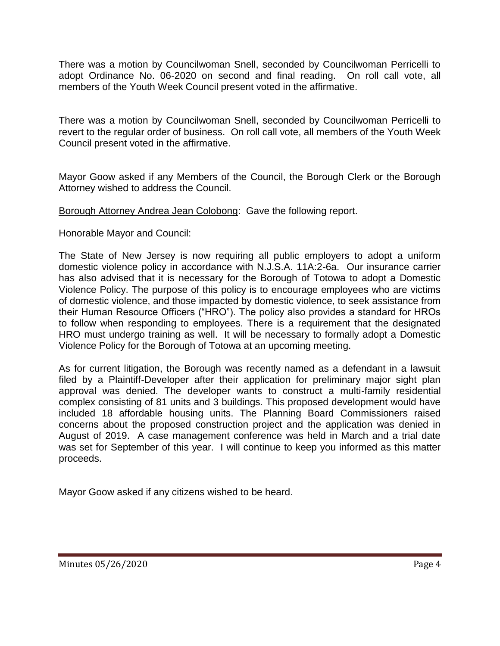There was a motion by Councilwoman Snell, seconded by Councilwoman Perricelli to adopt Ordinance No. 06-2020 on second and final reading. On roll call vote, all members of the Youth Week Council present voted in the affirmative.

There was a motion by Councilwoman Snell, seconded by Councilwoman Perricelli to revert to the regular order of business. On roll call vote, all members of the Youth Week Council present voted in the affirmative.

Mayor Goow asked if any Members of the Council, the Borough Clerk or the Borough Attorney wished to address the Council.

Borough Attorney Andrea Jean Colobong: Gave the following report.

Honorable Mayor and Council:

The State of New Jersey is now requiring all public employers to adopt a uniform domestic violence policy in accordance with N.J.S.A. 11A:2-6a. Our insurance carrier has also advised that it is necessary for the Borough of Totowa to adopt a Domestic Violence Policy. The purpose of this policy is to encourage employees who are victims of domestic violence, and those impacted by domestic violence, to seek assistance from their Human Resource Officers ("HRO"). The policy also provides a standard for HROs to follow when responding to employees. There is a requirement that the designated HRO must undergo training as well. It will be necessary to formally adopt a Domestic Violence Policy for the Borough of Totowa at an upcoming meeting.

As for current litigation, the Borough was recently named as a defendant in a lawsuit filed by a Plaintiff-Developer after their application for preliminary major sight plan approval was denied. The developer wants to construct a multi-family residential complex consisting of 81 units and 3 buildings. This proposed development would have included 18 affordable housing units. The Planning Board Commissioners raised concerns about the proposed construction project and the application was denied in August of 2019. A case management conference was held in March and a trial date was set for September of this year. I will continue to keep you informed as this matter proceeds.

Mayor Goow asked if any citizens wished to be heard.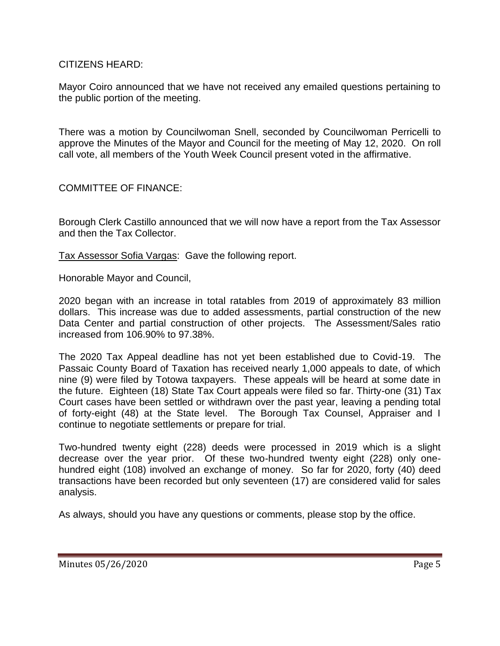CITIZENS HEARD:

Mayor Coiro announced that we have not received any emailed questions pertaining to the public portion of the meeting.

There was a motion by Councilwoman Snell, seconded by Councilwoman Perricelli to approve the Minutes of the Mayor and Council for the meeting of May 12, 2020. On roll call vote, all members of the Youth Week Council present voted in the affirmative.

COMMITTEE OF FINANCE:

Borough Clerk Castillo announced that we will now have a report from the Tax Assessor and then the Tax Collector.

Tax Assessor Sofia Vargas: Gave the following report.

Honorable Mayor and Council,

2020 began with an increase in total ratables from 2019 of approximately 83 million dollars. This increase was due to added assessments, partial construction of the new Data Center and partial construction of other projects. The Assessment/Sales ratio increased from 106.90% to 97.38%.

The 2020 Tax Appeal deadline has not yet been established due to Covid-19. The Passaic County Board of Taxation has received nearly 1,000 appeals to date, of which nine (9) were filed by Totowa taxpayers. These appeals will be heard at some date in the future. Eighteen (18) State Tax Court appeals were filed so far. Thirty-one (31) Tax Court cases have been settled or withdrawn over the past year, leaving a pending total of forty-eight (48) at the State level. The Borough Tax Counsel, Appraiser and I continue to negotiate settlements or prepare for trial.

Two-hundred twenty eight (228) deeds were processed in 2019 which is a slight decrease over the year prior. Of these two-hundred twenty eight (228) only onehundred eight (108) involved an exchange of money. So far for 2020, forty (40) deed transactions have been recorded but only seventeen (17) are considered valid for sales analysis.

As always, should you have any questions or comments, please stop by the office.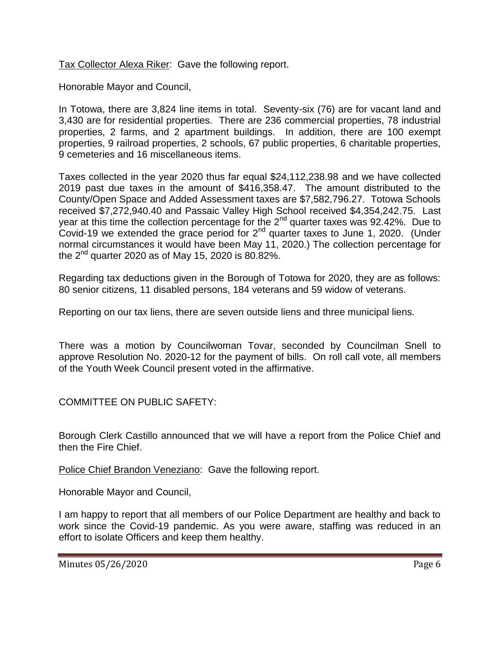Tax Collector Alexa Riker: Gave the following report.

Honorable Mayor and Council,

In Totowa, there are 3,824 line items in total. Seventy-six (76) are for vacant land and 3,430 are for residential properties. There are 236 commercial properties, 78 industrial properties, 2 farms, and 2 apartment buildings. In addition, there are 100 exempt properties, 9 railroad properties, 2 schools, 67 public properties, 6 charitable properties, 9 cemeteries and 16 miscellaneous items.

Taxes collected in the year 2020 thus far equal \$24,112,238.98 and we have collected 2019 past due taxes in the amount of \$416,358.47. The amount distributed to the County/Open Space and Added Assessment taxes are \$7,582,796.27. Totowa Schools received \$7,272,940.40 and Passaic Valley High School received \$4,354,242.75. Last year at this time the collection percentage for the 2<sup>nd</sup> quarter taxes was 92.42%. Due to Covid-19 we extended the grace period for  $2<sup>nd</sup>$  quarter taxes to June 1, 2020. (Under normal circumstances it would have been May 11, 2020.) The collection percentage for the  $2^{nd}$  quarter 2020 as of May 15, 2020 is 80.82%.

Regarding tax deductions given in the Borough of Totowa for 2020, they are as follows: 80 senior citizens, 11 disabled persons, 184 veterans and 59 widow of veterans.

Reporting on our tax liens, there are seven outside liens and three municipal liens.

There was a motion by Councilwoman Tovar, seconded by Councilman Snell to approve Resolution No. 2020-12 for the payment of bills. On roll call vote, all members of the Youth Week Council present voted in the affirmative.

COMMITTEE ON PUBLIC SAFETY:

Borough Clerk Castillo announced that we will have a report from the Police Chief and then the Fire Chief.

Police Chief Brandon Veneziano: Gave the following report.

Honorable Mayor and Council,

I am happy to report that all members of our Police Department are healthy and back to work since the Covid-19 pandemic. As you were aware, staffing was reduced in an effort to isolate Officers and keep them healthy.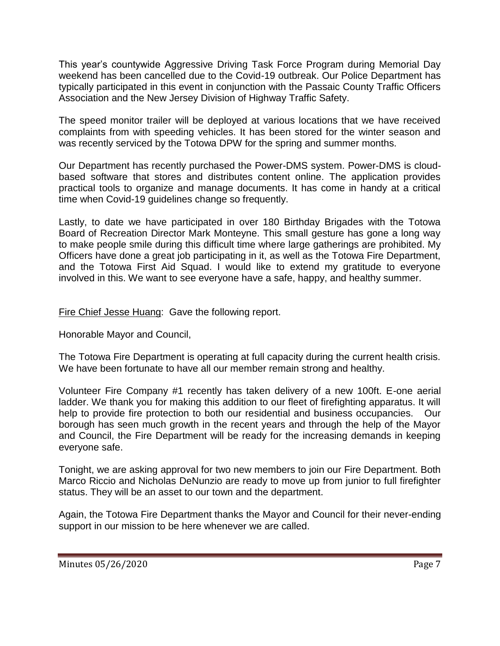This year's countywide Aggressive Driving Task Force Program during Memorial Day weekend has been cancelled due to the Covid-19 outbreak. Our Police Department has typically participated in this event in conjunction with the Passaic County Traffic Officers Association and the New Jersey Division of Highway Traffic Safety.

The speed monitor trailer will be deployed at various locations that we have received complaints from with speeding vehicles. It has been stored for the winter season and was recently serviced by the Totowa DPW for the spring and summer months.

Our Department has recently purchased the Power-DMS system. Power-DMS is cloudbased software that stores and distributes content online. The application provides practical tools to organize and manage documents. It has come in handy at a critical time when Covid-19 guidelines change so frequently.

Lastly, to date we have participated in over 180 Birthday Brigades with the Totowa Board of Recreation Director Mark Monteyne. This small gesture has gone a long way to make people smile during this difficult time where large gatherings are prohibited. My Officers have done a great job participating in it, as well as the Totowa Fire Department, and the Totowa First Aid Squad. I would like to extend my gratitude to everyone involved in this. We want to see everyone have a safe, happy, and healthy summer.

Fire Chief Jesse Huang: Gave the following report.

Honorable Mayor and Council,

The Totowa Fire Department is operating at full capacity during the current health crisis. We have been fortunate to have all our member remain strong and healthy.

Volunteer Fire Company #1 recently has taken delivery of a new 100ft. E-one aerial ladder. We thank you for making this addition to our fleet of firefighting apparatus. It will help to provide fire protection to both our residential and business occupancies. Our borough has seen much growth in the recent years and through the help of the Mayor and Council, the Fire Department will be ready for the increasing demands in keeping everyone safe.

Tonight, we are asking approval for two new members to join our Fire Department. Both Marco Riccio and Nicholas DeNunzio are ready to move up from junior to full firefighter status. They will be an asset to our town and the department.

Again, the Totowa Fire Department thanks the Mayor and Council for their never-ending support in our mission to be here whenever we are called.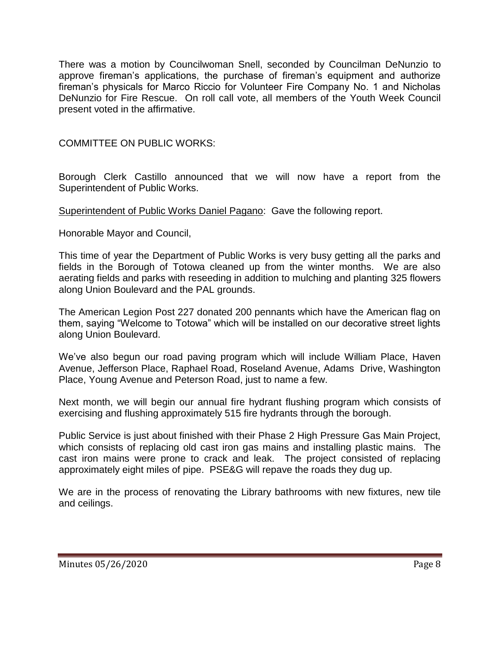There was a motion by Councilwoman Snell, seconded by Councilman DeNunzio to approve fireman's applications, the purchase of fireman's equipment and authorize fireman's physicals for Marco Riccio for Volunteer Fire Company No. 1 and Nicholas DeNunzio for Fire Rescue. On roll call vote, all members of the Youth Week Council present voted in the affirmative.

# COMMITTEE ON PUBLIC WORKS:

Borough Clerk Castillo announced that we will now have a report from the Superintendent of Public Works.

Superintendent of Public Works Daniel Pagano: Gave the following report.

Honorable Mayor and Council,

This time of year the Department of Public Works is very busy getting all the parks and fields in the Borough of Totowa cleaned up from the winter months. We are also aerating fields and parks with reseeding in addition to mulching and planting 325 flowers along Union Boulevard and the PAL grounds.

The American Legion Post 227 donated 200 pennants which have the American flag on them, saying "Welcome to Totowa" which will be installed on our decorative street lights along Union Boulevard.

We've also begun our road paving program which will include William Place, Haven Avenue, Jefferson Place, Raphael Road, Roseland Avenue, Adams Drive, Washington Place, Young Avenue and Peterson Road, just to name a few.

Next month, we will begin our annual fire hydrant flushing program which consists of exercising and flushing approximately 515 fire hydrants through the borough.

Public Service is just about finished with their Phase 2 High Pressure Gas Main Project, which consists of replacing old cast iron gas mains and installing plastic mains. The cast iron mains were prone to crack and leak. The project consisted of replacing approximately eight miles of pipe. PSE&G will repave the roads they dug up.

We are in the process of renovating the Library bathrooms with new fixtures, new tile and ceilings.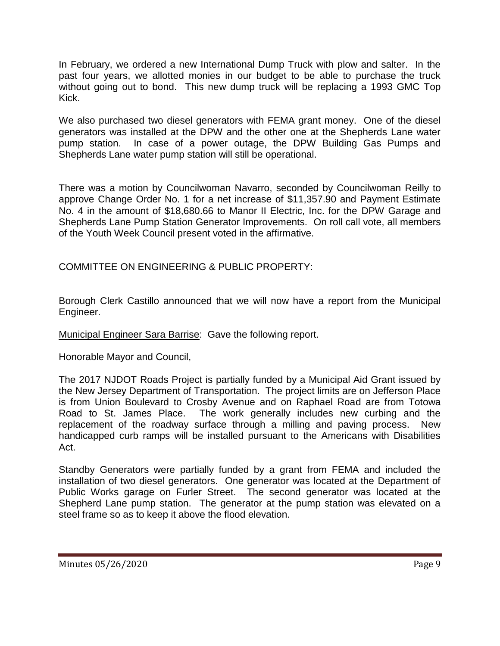In February, we ordered a new International Dump Truck with plow and salter. In the past four years, we allotted monies in our budget to be able to purchase the truck without going out to bond. This new dump truck will be replacing a 1993 GMC Top Kick.

We also purchased two diesel generators with FEMA grant money. One of the diesel generators was installed at the DPW and the other one at the Shepherds Lane water pump station. In case of a power outage, the DPW Building Gas Pumps and Shepherds Lane water pump station will still be operational.

There was a motion by Councilwoman Navarro, seconded by Councilwoman Reilly to approve Change Order No. 1 for a net increase of \$11,357.90 and Payment Estimate No. 4 in the amount of \$18,680.66 to Manor II Electric, Inc. for the DPW Garage and Shepherds Lane Pump Station Generator Improvements. On roll call vote, all members of the Youth Week Council present voted in the affirmative.

COMMITTEE ON ENGINEERING & PUBLIC PROPERTY:

Borough Clerk Castillo announced that we will now have a report from the Municipal Engineer.

Municipal Engineer Sara Barrise: Gave the following report.

Honorable Mayor and Council,

The 2017 NJDOT Roads Project is partially funded by a Municipal Aid Grant issued by the New Jersey Department of Transportation. The project limits are on Jefferson Place is from Union Boulevard to Crosby Avenue and on Raphael Road are from Totowa Road to St. James Place. The work generally includes new curbing and the replacement of the roadway surface through a milling and paving process. New handicapped curb ramps will be installed pursuant to the Americans with Disabilities Act.

Standby Generators were partially funded by a grant from FEMA and included the installation of two diesel generators. One generator was located at the Department of Public Works garage on Furler Street. The second generator was located at the Shepherd Lane pump station. The generator at the pump station was elevated on a steel frame so as to keep it above the flood elevation.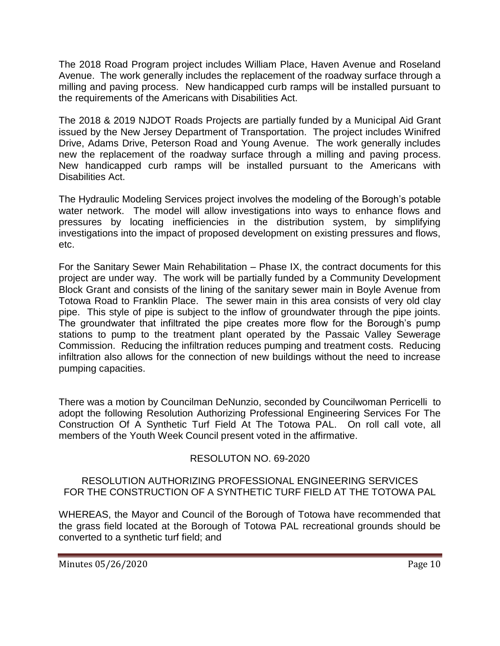The 2018 Road Program project includes William Place, Haven Avenue and Roseland Avenue. The work generally includes the replacement of the roadway surface through a milling and paving process. New handicapped curb ramps will be installed pursuant to the requirements of the Americans with Disabilities Act.

The 2018 & 2019 NJDOT Roads Projects are partially funded by a Municipal Aid Grant issued by the New Jersey Department of Transportation. The project includes Winifred Drive, Adams Drive, Peterson Road and Young Avenue. The work generally includes new the replacement of the roadway surface through a milling and paving process. New handicapped curb ramps will be installed pursuant to the Americans with Disabilities Act.

The Hydraulic Modeling Services project involves the modeling of the Borough's potable water network. The model will allow investigations into ways to enhance flows and pressures by locating inefficiencies in the distribution system, by simplifying investigations into the impact of proposed development on existing pressures and flows, etc.

For the Sanitary Sewer Main Rehabilitation – Phase IX, the contract documents for this project are under way. The work will be partially funded by a Community Development Block Grant and consists of the lining of the sanitary sewer main in Boyle Avenue from Totowa Road to Franklin Place. The sewer main in this area consists of very old clay pipe. This style of pipe is subject to the inflow of groundwater through the pipe joints. The groundwater that infiltrated the pipe creates more flow for the Borough's pump stations to pump to the treatment plant operated by the Passaic Valley Sewerage Commission. Reducing the infiltration reduces pumping and treatment costs. Reducing infiltration also allows for the connection of new buildings without the need to increase pumping capacities.

There was a motion by Councilman DeNunzio, seconded by Councilwoman Perricelli to adopt the following Resolution Authorizing Professional Engineering Services For The Construction Of A Synthetic Turf Field At The Totowa PAL. On roll call vote, all members of the Youth Week Council present voted in the affirmative.

# RESOLUTON NO. 69-2020

# RESOLUTION AUTHORIZING PROFESSIONAL ENGINEERING SERVICES FOR THE CONSTRUCTION OF A SYNTHETIC TURF FIELD AT THE TOTOWA PAL

WHEREAS, the Mayor and Council of the Borough of Totowa have recommended that the grass field located at the Borough of Totowa PAL recreational grounds should be converted to a synthetic turf field; and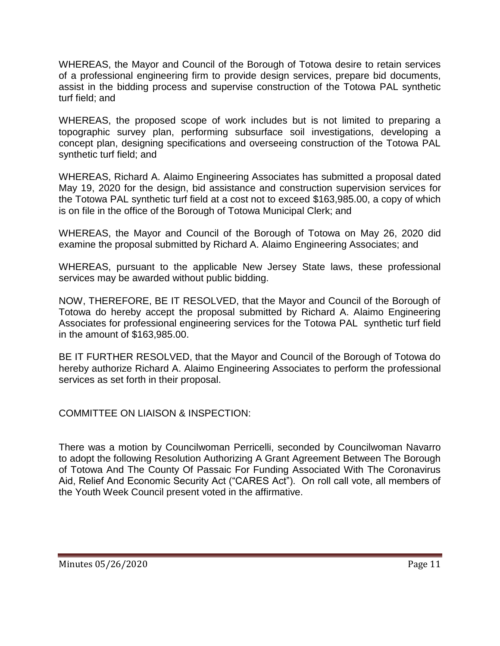WHEREAS, the Mayor and Council of the Borough of Totowa desire to retain services of a professional engineering firm to provide design services, prepare bid documents, assist in the bidding process and supervise construction of the Totowa PAL synthetic turf field; and

WHEREAS, the proposed scope of work includes but is not limited to preparing a topographic survey plan, performing subsurface soil investigations, developing a concept plan, designing specifications and overseeing construction of the Totowa PAL synthetic turf field; and

WHEREAS, Richard A. Alaimo Engineering Associates has submitted a proposal dated May 19, 2020 for the design, bid assistance and construction supervision services for the Totowa PAL synthetic turf field at a cost not to exceed \$163,985.00, a copy of which is on file in the office of the Borough of Totowa Municipal Clerk; and

WHEREAS, the Mayor and Council of the Borough of Totowa on May 26, 2020 did examine the proposal submitted by Richard A. Alaimo Engineering Associates; and

WHEREAS, pursuant to the applicable New Jersey State laws, these professional services may be awarded without public bidding.

NOW, THEREFORE, BE IT RESOLVED, that the Mayor and Council of the Borough of Totowa do hereby accept the proposal submitted by Richard A. Alaimo Engineering Associates for professional engineering services for the Totowa PAL synthetic turf field in the amount of \$163,985.00.

BE IT FURTHER RESOLVED, that the Mayor and Council of the Borough of Totowa do hereby authorize Richard A. Alaimo Engineering Associates to perform the professional services as set forth in their proposal.

COMMITTEE ON LIAISON & INSPECTION:

There was a motion by Councilwoman Perricelli, seconded by Councilwoman Navarro to adopt the following Resolution Authorizing A Grant Agreement Between The Borough of Totowa And The County Of Passaic For Funding Associated With The Coronavirus Aid, Relief And Economic Security Act ("CARES Act"). On roll call vote, all members of the Youth Week Council present voted in the affirmative.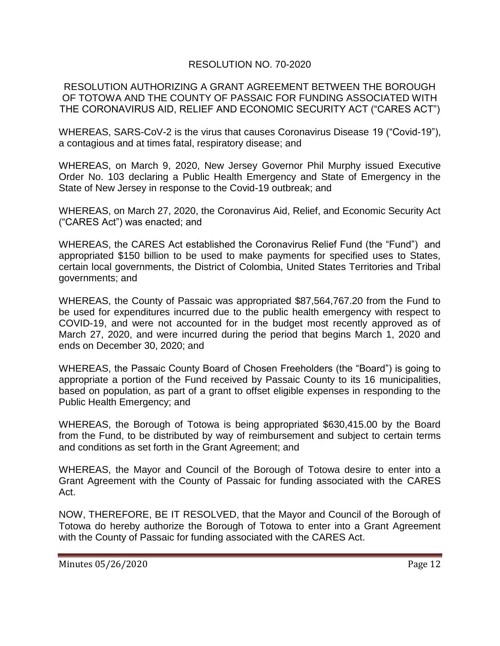# RESOLUTION NO. 70-2020

### RESOLUTION AUTHORIZING A GRANT AGREEMENT BETWEEN THE BOROUGH OF TOTOWA AND THE COUNTY OF PASSAIC FOR FUNDING ASSOCIATED WITH THE CORONAVIRUS AID, RELIEF AND ECONOMIC SECURITY ACT ("CARES ACT")

WHEREAS, SARS-CoV-2 is the virus that causes Coronavirus Disease 19 ("Covid-19"), a contagious and at times fatal, respiratory disease; and

WHEREAS, on March 9, 2020, New Jersey Governor Phil Murphy issued Executive Order No. 103 declaring a Public Health Emergency and State of Emergency in the State of New Jersey in response to the Covid-19 outbreak; and

WHEREAS, on March 27, 2020, the Coronavirus Aid, Relief, and Economic Security Act ("CARES Act") was enacted; and

WHEREAS, the CARES Act established the Coronavirus Relief Fund (the "Fund") and appropriated \$150 billion to be used to make payments for specified uses to States, certain local governments, the District of Colombia, United States Territories and Tribal governments; and

WHEREAS, the County of Passaic was appropriated \$87,564,767.20 from the Fund to be used for expenditures incurred due to the public health emergency with respect to COVID-19, and were not accounted for in the budget most recently approved as of March 27, 2020, and were incurred during the period that begins March 1, 2020 and ends on December 30, 2020; and

WHEREAS, the Passaic County Board of Chosen Freeholders (the "Board") is going to appropriate a portion of the Fund received by Passaic County to its 16 municipalities, based on population, as part of a grant to offset eligible expenses in responding to the Public Health Emergency; and

WHEREAS, the Borough of Totowa is being appropriated \$630,415.00 by the Board from the Fund, to be distributed by way of reimbursement and subject to certain terms and conditions as set forth in the Grant Agreement; and

WHEREAS, the Mayor and Council of the Borough of Totowa desire to enter into a Grant Agreement with the County of Passaic for funding associated with the CARES Act.

NOW, THEREFORE, BE IT RESOLVED, that the Mayor and Council of the Borough of Totowa do hereby authorize the Borough of Totowa to enter into a Grant Agreement with the County of Passaic for funding associated with the CARES Act.